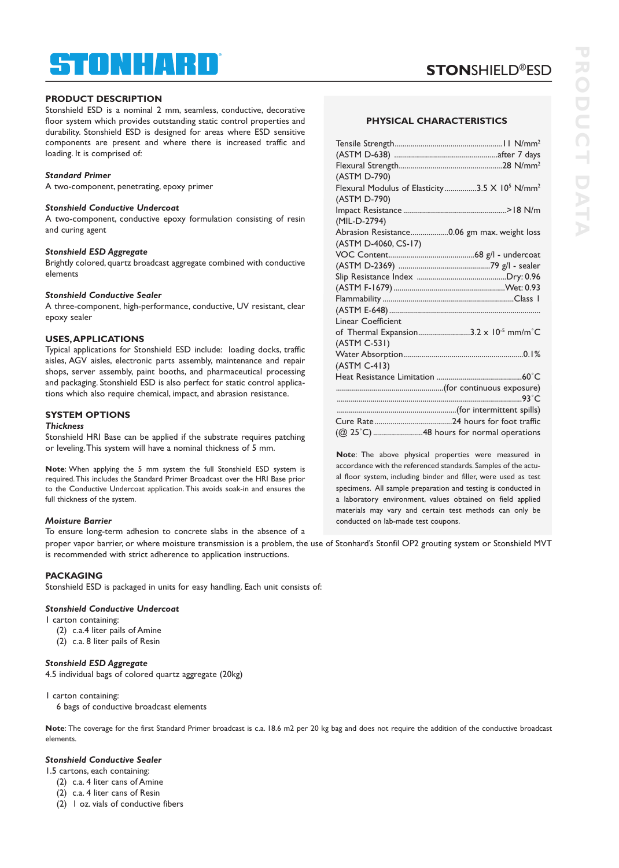# STONHARD ®

# **PRODUCT DESCRIPTION**

Stonshield ESD is a nominal 2 mm, seamless, conductive, decorative floor system which provides outstanding static control properties and durability. Stonshield ESD is designed for areas where ESD sensitive components are present and where there is increased traffic and loading. It is comprised of:

### *Standard Primer*

A two-component, penetrating, epoxy primer

### *Stonshield Conductive Undercoat*

A two-component, conductive epoxy formulation consisting of resin and curing agent

### *Stonshield ESD Aggregate*

Brightly colored, quartz broadcast aggregate combined with conductive elements

# *Stonshield Conductive Sealer*

A three-component, high-performance, conductive, UV resistant, clear epoxy sealer

### **USES,APPLICATIONS**

Typical applications for Stonshield ESD include: loading docks, traffic aisles, AGV aisles, electronic parts assembly, maintenance and repair shops, server assembly, paint booths, and pharmaceutical processing and packaging. Stonshield ESD is also perfect for static control applications which also require chemical, impact, and abrasion resistance.

# **SYSTEM OPTIONS**

# *Thickness*

Stonshield HRI Base can be applied if the substrate requires patching or leveling.This system will have a nominal thickness of 5 mm.

**Note**: When applying the 5 mm system the full Stonshield ESD system is required.This includes the Standard Primer Broadcast over the HRI Base prior to the Conductive Undercoat application.This avoids soak-in and ensures the full thickness of the system.

# *Moisture Barrier*

To ensure long-term adhesion to concrete slabs in the absence of a proper vapor barrier, or where moisture transmission is a problem, the use of Stonhard's Stonfil OP2 grouting system or Stonshield MVT

is recommended with strict adherence to application instructions.

# **PACKAGING**

Stonshield ESD is packaged in units for easy handling. Each unit consists of:

# *Stonshield Conductive Undercoat*

- 1 carton containing:
	- (2) c.a.4 liter pails of Amine
	- (2) c.a. 8 liter pails of Resin

# *Stonshield ESD Aggregate*

4.5 individual bags of colored quartz aggregate (20kg)

### 1 carton containing:

6 bags of conductive broadcast elements

**Note**: The coverage for the first Standard Primer broadcast is c.a. 18.6 m2 per 20 kg bag and does not require the addition of the conductive broadcast elements.

# *Stonshield Conductive Sealer*

- 1.5 cartons, each containing:
	- (2) c.a. 4 liter cans of Amine
	- (2) c.a. 4 liter cans of Resin
	- (2) 1 oz. vials of conductive fibers

# **STON**SHIELD®ESD

### **PHYSICAL CHARACTERISTICS**

| (ASTM D-790)                                                          |  |
|-----------------------------------------------------------------------|--|
| Flexural Modulus of Elasticity3.5 X 10 <sup>5</sup> N/mm <sup>2</sup> |  |
| (ASTM D-790)                                                          |  |
|                                                                       |  |
| (MIL-D-2794)                                                          |  |
| Abrasion Resistance0.06 gm max. weight loss                           |  |
| (ASTM D-4060, CS-17)                                                  |  |
|                                                                       |  |
|                                                                       |  |
|                                                                       |  |
|                                                                       |  |
|                                                                       |  |
|                                                                       |  |
| Linear Coefficient                                                    |  |
| of Thermal Expansion3.2 x 10 <sup>-5</sup> mm/m <sup>°</sup> C        |  |
| (ASTM C-531)                                                          |  |
|                                                                       |  |
| (ASTM C-413)                                                          |  |
|                                                                       |  |
|                                                                       |  |
|                                                                       |  |
|                                                                       |  |
|                                                                       |  |
| (@ 25°C) 48 hours for normal operations                               |  |

**Note**: The above physical properties were measured in accordance with the referenced standards. Samples of the actual floor system, including binder and filler, were used as test specimens. All sample preparation and testing is conducted in a laboratory environment, values obtained on field applied materials may vary and certain test methods can only be conducted on lab-made test coupons.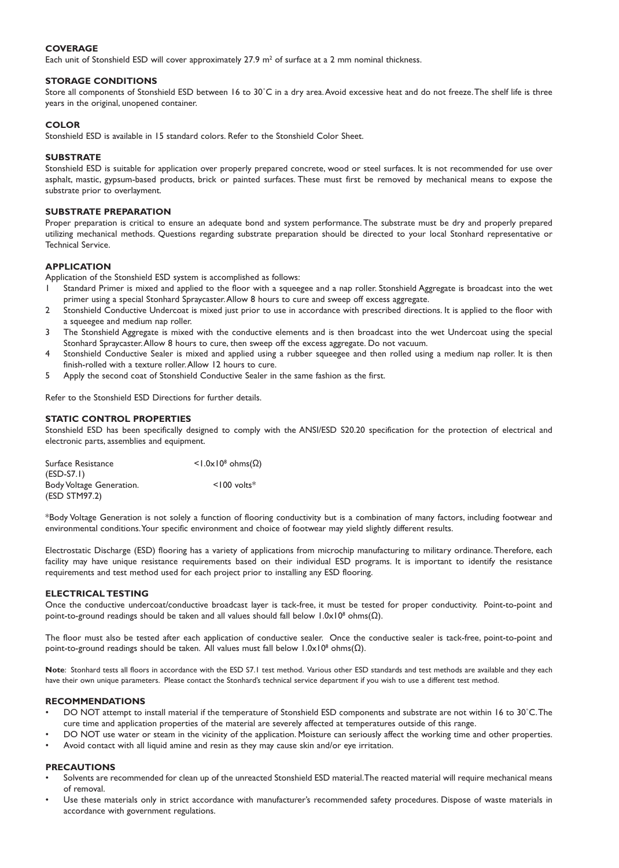# **COVERAGE**

Each unit of Stonshield ESD will cover approximately 27.9  $m^2$  of surface at a 2 mm nominal thickness.

# **STORAGE CONDITIONS**

Store all components of Stonshield ESD between 16 to 30°C in a dry area. Avoid excessive heat and do not freeze. The shelf life is three years in the original, unopened container.

### **COLOR**

Stonshield ESD is available in 15 standard colors. Refer to the Stonshield Color Sheet.

### **SUBSTRATE**

Stonshield ESD is suitable for application over properly prepared concrete, wood or steel surfaces. It is not recommended for use over asphalt, mastic, gypsum-based products, brick or painted surfaces. These must first be removed by mechanical means to expose the substrate prior to overlayment.

### **SUBSTRATE PREPARATION**

Proper preparation is critical to ensure an adequate bond and system performance. The substrate must be dry and properly prepared utilizing mechanical methods. Questions regarding substrate preparation should be directed to your local Stonhard representative or Technical Service.

# **APPLICATION**

Application of the Stonshield ESD system is accomplished as follows:

- 1 Standard Primer is mixed and applied to the floor with a squeegee and a nap roller. Stonshield Aggregate is broadcast into the wet primer using a special Stonhard Spraycaster.Allow 8 hours to cure and sweep off excess aggregate.
- 2 Stonshield Conductive Undercoat is mixed just prior to use in accordance with prescribed directions. It is applied to the floor with a squeegee and medium nap roller.
- 3 The Stonshield Aggregate is mixed with the conductive elements and is then broadcast into the wet Undercoat using the special Stonhard Spraycaster.Allow 8 hours to cure, then sweep off the excess aggregate. Do not vacuum.
- 4 Stonshield Conductive Sealer is mixed and applied using a rubber squeegee and then rolled using a medium nap roller. It is then finish-rolled with a texture roller.Allow 12 hours to cure.
- 5 Apply the second coat of Stonshield Conductive Sealer in the same fashion as the first.

Refer to the Stonshield ESD Directions for further details.

### **STATIC CONTROL PROPERTIES**

Stonshield ESD has been specifically designed to comply with the ANSI/ESD S20.20 specification for the protection of electrical and electronic parts, assemblies and equipment.

| Surface Resistance       | $<$ 1.0x10 <sup>8</sup> ohms( $\Omega$ ) |
|--------------------------|------------------------------------------|
| $(ESD-S7.1)$             |                                          |
| Body Voltage Generation. | $\leq$ 100 volts <sup>*</sup>            |
| (ESD STM97.2)            |                                          |

\*Body Voltage Generation is not solely a function of flooring conductivity but is a combination of many factors, including footwear and environmental conditions.Your specific environment and choice of footwear may yield slightly different results.

Electrostatic Discharge (ESD) flooring has a variety of applications from microchip manufacturing to military ordinance.Therefore, each facility may have unique resistance requirements based on their individual ESD programs. It is important to identify the resistance requirements and test method used for each project prior to installing any ESD flooring.

### **ELECTRICAL TESTING**

Once the conductive undercoat/conductive broadcast layer is tack-free, it must be tested for proper conductivity. Point-to-point and point-to-ground readings should be taken and all values should fall below  $1.0 \times 10^8$  ohms( $Ω$ ).

The floor must also be tested after each application of conductive sealer. Once the conductive sealer is tack-free, point-to-point and point-to-ground readings should be taken. All values must fall below 1.0x108 ohms(Ω).

Note: Stonhard tests all floors in accordance with the ESD S7.1 test method. Various other ESD standards and test methods are available and they each have their own unique parameters. Please contact the Stonhard's technical service department if you wish to use a different test method.

### **RECOMMENDATIONS**

- DO NOT attempt to install material if the temperature of Stonshield ESD components and substrate are not within 16 to 30˚C.The cure time and application properties of the material are severely affected at temperatures outside of this range.
- DO NOT use water or steam in the vicinity of the application. Moisture can seriously affect the working time and other properties.
- Avoid contact with all liquid amine and resin as they may cause skin and/or eye irritation.

# **PRECAUTIONS**

- Solvents are recommended for clean up of the unreacted Stonshield ESD material. The reacted material will require mechanical means of removal.
- Use these materials only in strict accordance with manufacturer's recommended safety procedures. Dispose of waste materials in accordance with government regulations.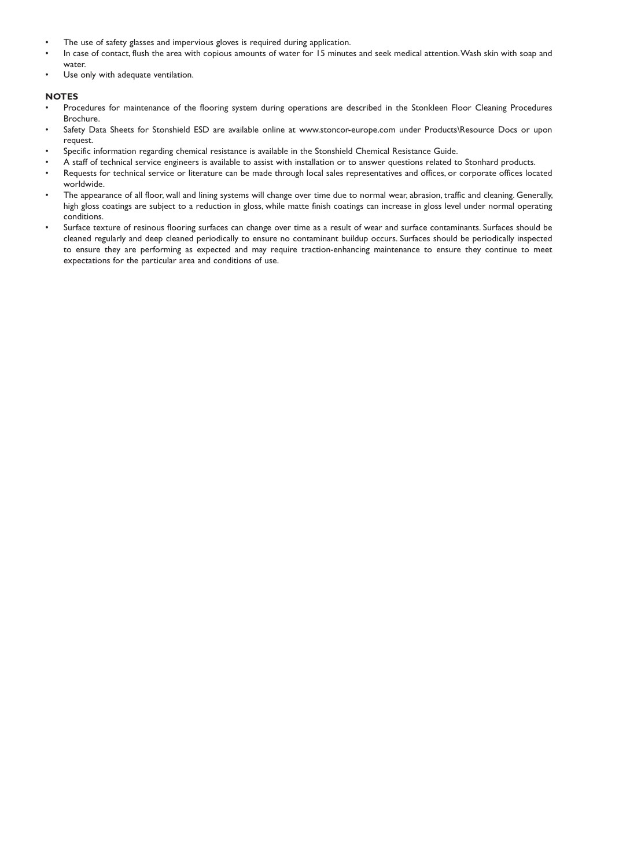- The use of safety glasses and impervious gloves is required during application.
- In case of contact, flush the area with copious amounts of water for 15 minutes and seek medical attention.Wash skin with soap and water.
- Use only with adequate ventilation.

# **NOTES**

- Procedures for maintenance of the flooring system during operations are described in the Stonkleen Floor Cleaning Procedures Brochure.
- Safety Data Sheets for Stonshield ESD are available online at www.stoncor-europe.com under Products\Resource Docs or upon request.
- Specific information regarding chemical resistance is available in the Stonshield Chemical Resistance Guide.
- A staff of technical service engineers is available to assist with installation or to answer questions related to Stonhard products.
- Requests for technical service or literature can be made through local sales representatives and offices, or corporate offices located worldwide.
- The appearance of all floor, wall and lining systems will change over time due to normal wear, abrasion, traffic and cleaning. Generally, high gloss coatings are subject to a reduction in gloss, while matte finish coatings can increase in gloss level under normal operating conditions.
- Surface texture of resinous flooring surfaces can change over time as a result of wear and surface contaminants. Surfaces should be cleaned regularly and deep cleaned periodically to ensure no contaminant buildup occurs. Surfaces should be periodically inspected to ensure they are performing as expected and may require traction-enhancing maintenance to ensure they continue to meet expectations for the particular area and conditions of use.